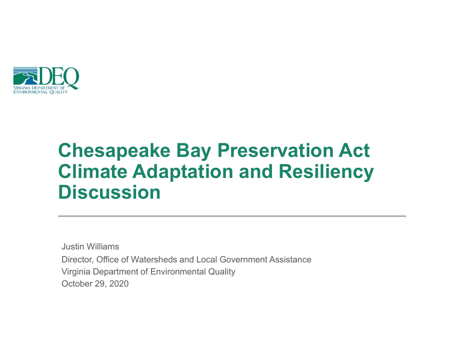

#### Chesapeake Bay Preservation Act Climate Adaptation and Resiliency **Discussion**

Justin Williams Director, Office of Watersheds and Local Government Assistance October 29, 2020 Virginia Department of Environmental Quality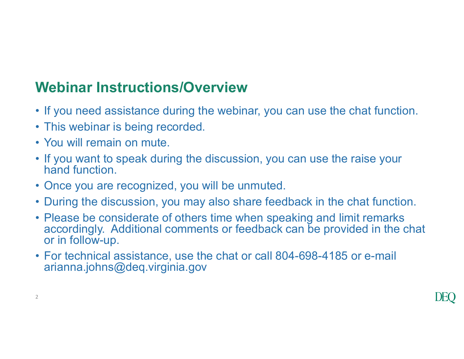# Webinar Instructions/Overview Webinar Instructions/Overview<br>• If you need assistance during the webina<br>• This webinar is being recorded.<br>• You will remain on mute.<br>• If you want to speak during the discussion

- Webinar Instructions/Overview<br>• If you need assistance during the webinar, you can use the chat function.<br>• This webinar is being recorded.<br>• You will remain on mute.
- 
- 
- Webinar Instructions/Overvie<br>• If you need assistance during the web<br>• This webinar is being recorded.<br>• You will remain on mute.<br>• If you want to speak during the discus<br>hand function. Webinar Instructions/Overview<br>• If you need assistance during the webinar, you can use the chat function.<br>• This webinar is being recorded.<br>• You will remain on mute.<br>• If you want to speak during the discussion, you can u hand function. **Webinar Instructions/Overview**<br>• If you need assistance during the webinar, you can use the<br>• This webinar is being recorded.<br>• You will remain on mute.<br>• If you want to speak during the discussion, you can use thand func
- 
- 
- **Webinar Instructions/Overview**<br>• If you need assistance during the webinar, you can use the chat function.<br>• This webinar is being recorded.<br>• You will remain on mute.<br>• If you want to speak during the discussion, you can **Webinar Instructions/Overview**<br>• If you need assistance during the webinar, you can use the chat function.<br>• This webinar is being recorded.<br>• You will remain on mute.<br>• If you want to speak during the discussion, you can accordingly. Additional comments or feedback can be provided in the chat or in follow-up. • If you need assistance during the webinar, you can use the chat function.<br>• This webinar is being recorded.<br>• You will remain on mute.<br>• If you want to speak during the discussion, you can use the raise your hand functio
- arianna.johns@deq.virginia.gov

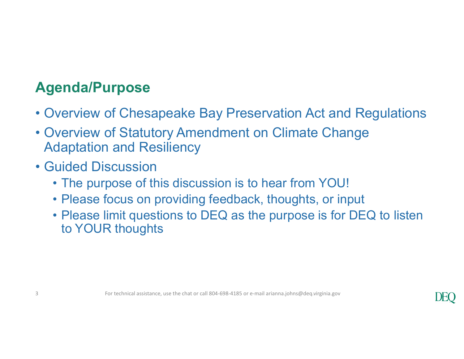#### Agenda/Purpose

- 
- Agenda/Purpose<br>• Overview of Chesapeake Bay Preservation Act and Regulations<br>• Overview of Statutory Amendment on Climate Change<br>Adaptation and Resiliency **Agenda/Purpose**<br>• Overview of Chesapeake Bay Preservation Act and Regulations<br>• Overview of Statutory Amendment on Climate Change<br>• Guided Discussion Adaptation and Resiliency Agenda/Purpose<br>
• Overview of Chesapeake Bay P<br>
• Overview of Statutory Amendme<br>
Adaptation and Resiliency<br>
• Guided Discussion<br>
• The purpose of this discussion<br>
• Please focus on providing feed **enda/Purpose**<br>• Verview of Chesapeake Bay Preservation Act and Regula<br>• Verview of Statutory Amendment on Climate Change<br>• The purpose of this discussion is to hear from YOU!<br>• Please focus on providing feedback, thoughts
- -
	-
- **enda/Purpose**<br>• Verview of Chesapeake Bay Preservation Act and Regulation<br>• Verview of Statutory Amendment on Climate Change<br>• daptation and Resiliency<br>• The purpose of this discussion is to hear from YOU!<br>• Please focus **enda/Purpose**<br>• Verview of Chesapeake Bay Preservation Act and Regulations<br>• Verview of Statutory Amendment on Climate Change<br>• daptation and Resiliency<br>• The purpose of this discussion is to hear from YOU!<br>• Please focus to YOUR thoughts • Guided Discussion<br>• The purpose of this discussion is to hear from YOU<br>• Please focus on providing feedback, thoughts, or i<br>• Please limit questions to DEQ as the purpose is fo<br>to YOUR thoughts<br>thoughts<br>for technical ass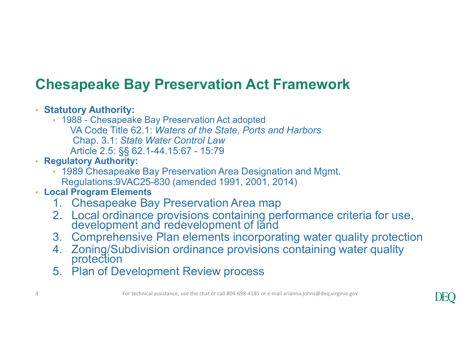#### Chesapeake Bay Preservation Act Framework

#### • Statutory Authority:

- **esapeake Bay Preservation Act Framework**<br> **Act adopted Bay Preservation Act adopted**<br>
VA Code Title 62.1: Waters of the State, Ports and Harbors<br>
Chap. 3.1: State Water Control Law<br>
Article 2.5: §§ 62.1-44.15:67 15:79 VA Code Title 62.1: Waters of the State, Ports and Harbors Chap. 3.1: State Water Control Law **apeake Bay Preservation Act Framework**<br>
tory Authority:<br>
88 - Chesapeake Bay Preservation Act adopted<br>
VA Code Title 62.1: *Waters of the State, Ports and Harbors*<br>
Chap. 3.1: *State Water Control Law*<br>
Article 2.5: §§ 62 **esapeake Bay Preservation Act Framework**<br> **Example 2.1.1. Thesapeake Bay Preservation Act adopted**<br>
1. Chesapeake Bay Preservation Act adopted<br>
1. Chesapeake Bay Preservation *Law*<br>
Article 2.5: §§ 62.1-44.15:67 - 15:79<br> **Example and Say Preservation Act Framework**<br>
2018 - Chesapeake Bay Preservation Act adopted<br>
2. UAC Code Title 62.1: Waters of the State, Ports and Harbors<br>
Chap. 3.1: State Water Control Law<br>
Article 2.5: §§ 62.1-44.15:6 Example and First Preservation Act Trainework<br>
1988 - Chesapeake Bay Preservation Act adopted<br>
VA Code Tille 62.1: Waters of the State, Ports and Harbors<br>
Chap. 3.1: State Water Control Law<br>
Article 2.5: §§ 62.1-44.15:67 atutory Authority:<br>
1988 - Chesapeake Bay Preservation Act adopted<br>
VA Code Title 62.1: Waters of the State, Ports and Harbors<br>
Chap. 3.1: State Water Control Law<br>
Article 2.5: §§ 62.1-44.15:67 - 15:79<br>
1989 Chesapeake Bay Free the State Preservation Act also the State, Ports and Harbors<br>
Chap. 3.1: State Water Control Law<br>
Article 2.5: §§ 62.1-44.15:67 - 15:79<br> **synthetry Authority:**<br>
1. **Pagulatory Authority:**<br>
Regulations:9VAC25-830 (amen
- Regulatory Authority:
	- 1989 Chesapeake Bay Preservation Area Designation and Mgmt. Regulations:9VAC25-830 (amended 1991, 2001, 2014)

#### • Local Program Elements

- 
- 
- 
- Article 2.5: §§ 62.1-44.15:67 15:79<br>
 Regulatory Authority:<br>
 1989 Chesapeake Bay Preservation Area Designation and Mgmt.<br>
Regulations: 9VAC25-830 (amended 1991, 2001, 2014)<br>
 Local Program Elements<br>
1. Chesapeake Bay
	-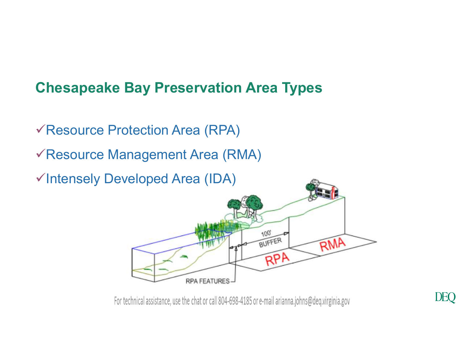#### Chesapeake Bay Preservation Area Types

- Resource Protection Area (RPA)
- Resource Management Area (RMA)
- Intensely Developed Area (IDA)



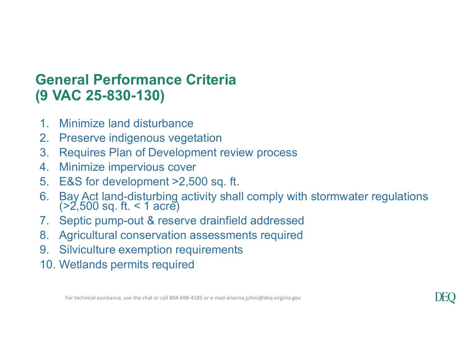#### General Performance Criteria (9 VAC 25-830-130)

- 1. Minimize land disturbance
- 2. Preserve indigenous vegetation
- 3. Requires Plan of Development review process
- 4. Minimize impervious cover
- 5. E&S for development >2,500 sq. ft.
- **General Performance Criteria<br>
9 VAC 25-830-130)**<br>
1. Minimize land disturbance<br>
2. Preserve indigenous vegetation<br>
3. Requires Plan of Development review process<br>
4. Minimize impervious cover<br>
5. E&S for development >2,50 **General Performance Criteria**<br> **9 VAC 25-830-130)**<br>
1. Minimize land disturbance<br>
2. Preserve indigenous vegetation<br>
3. Requires Plan of Development review process<br>
4. Minimize impervious cover<br>
5. E&S for development >2, 9. Minimize land disturbance<br>
2. Preserve indigenous vegetation<br>
3. Requires Plan of Development review process<br>
4. Minimize impervious cover<br>
5. E&S for development >2,500 sq. ft.<br>
6. Bay Act land-disturbing activity shal
- 
- 8. Agricultural conservation assessments required
- 
- 10. Wetlands permits required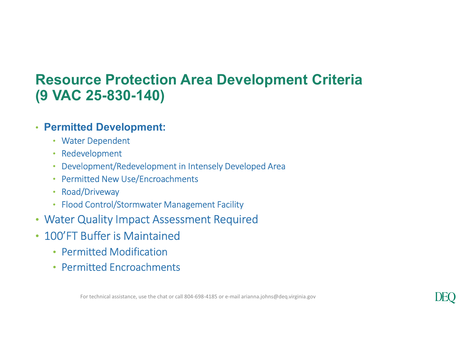## Resource Protection Area Development Criteria (9 VAC 25-830-140) • Flood Control/Stormwater Management Facility

#### • Permitted Development:

- Water Dependent
- Redevelopment
- Development/Redevelopment in Intensely Developed Area
- Permitted New Use/Encroachments
- Road/Driveway
- 
- Water Quality Impact Assessment Required
- 100'FT Buffer is Maintained
	- Permitted Modification
	- Permitted Encroachments

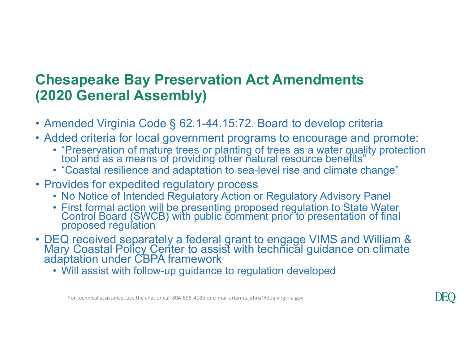### Chesapeake Bay Preservation Act Amendments (2020 General Assembly) **Chesapeake Bay Preservation Act Amendments<br>
(2020 General Assembly)<br>
• Amended Virginia Code § 62.1-44.15:72. Board to develop criteria<br>
• Added criteria for local government programs to encourage and promote:<br>
• "Preser Chesapeake Bay Preservation Act Amendments<br>
(2020 General Assembly)<br>
• Amended Virginia Code § 62.1-44.15:72. Board to develop criteria<br>
• Added criteria for local government programs to encourage and promote:<br>
• "Preser esapeake Bay Preservation Act Amendments**<br>**120 General Assembly)**<br>mended Virginia Code § 62.1-44.15:72. Board to develop criteria<br>dded criteria for local government programs to encourage and promote:<br>• "Preservation of ma **esapeake Bay Preservation Act Amendments<br>
20 General Assembly)**<br>
mended Virginia Code § 62.1-44.15:72. Board to develop criteria<br>
dded criteria for local government programs to encourage and promote:<br>
• "Preservation of

- 
- - tool and as a means of providing other natural resource benefits"  $\dot{\phantom{\phi}}$  .
	-
- -
- Amended Virginia Code § 62.1-44.15:72. Board to develop criteria<br>
 Added criteria for local government programs to encourage and promote:<br>
 "Preservation of mature trees or planting of trees as a water quality protecti **esapeake Bay Preservation Act Amendments**<br> **120 General Assembly)**<br>
mended Virginia Code § 62.1-44.15:72. Board to develop criteria<br>
dded criteria for local government programs to encourage and promote:<br>
• "Preservation **esapeake Bay Preservation Act Amendments**<br> **120 General Assembly)**<br>
mended Virginia Code § 62.1-44.15:72. Board to develop criteria<br>
dded criteria for local government programs to encourage and promoc<br>
• "Preservation of
- **(2020 General Assembly)**<br>
 Amended Virginia Code § 62.1-44.15:72. Board to develop criteria<br>
 Added criteria for local government programs to encourage and promote<br>
 "Preservation of mature trees or planting of trees mended Virginia Code § 62.1-44.15:72. Board to develop criteria<br>dded criteria for local government programs to encourage and pro<br>
• "Preservation of mature trees or planting of trees as a water quality pr<br>
tool and as a me
	-

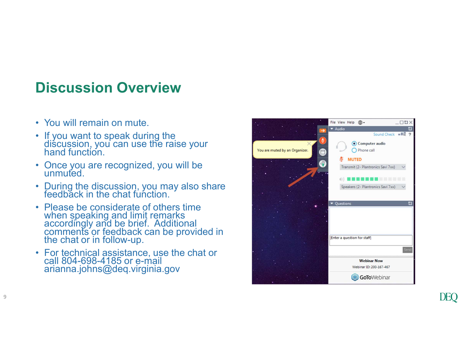#### Discussion Overview

9

- **Discussion Overview<br>• You will remain on mute.**<br>• If you want to speak during the<br>discussion, you can use the raise your<br>hand function. **Discussion Overview<br>• You will remain on mute.<br>• If you want to speak during the discussion, you can use the raise your hand function.<br>• Once you are recognized, you will be unmuted Discussion Overview<br>• You will remain on mute.**<br>• If you want to speak during the<br>discussion, you can use the raise your<br>hand function.<br>• Once you are recognized, you will be<br>• During the discussion, you may also share<br>fe
- 
- During the discussion, you may also share<br>feedback in the chat function.
- **Discussion Overview**<br>
 You will remain on mute.<br>
 If you want to speak during the<br>
discussion, you can use the raise your<br>
hand function.<br>
 Once you are recognized, you will be<br> **•** Unring the discussion, you may also **Script and Script and Script and Script remains and formulation**<br>If you want to speak during the<br>discussion, you can use the raise your<br>Conce you are recognized, you will be<br>unmuted.<br>During the discussion, you may also sh the chat or in follow-up. • You will remain on mute.<br>• If you want to speak during the<br>discussion, you can use the raise your<br>hand function.<br>• Once you are recognized, you will be<br>unmuted.<br>• Pedback in the chat function.<br>• Please be considerate of
- reall 804-698-4185 or e-mail<br>arianna.johns@deq.virginia.gov

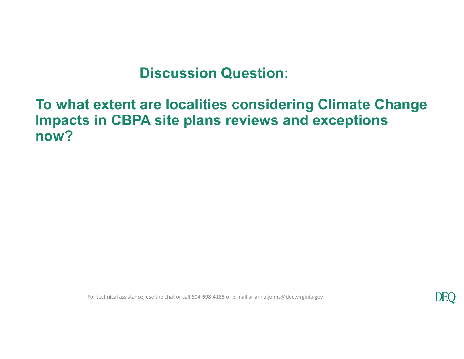#### To what extent are localities considering Climate Change Impacts in CBPA site plans reviews and exceptions now?

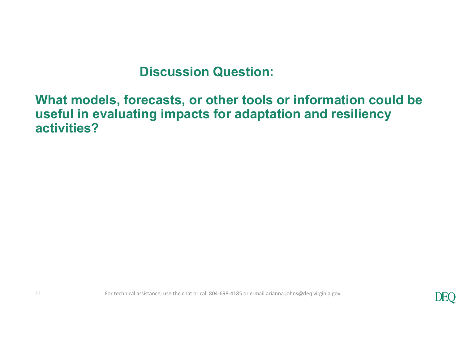#### What models, forecasts, or other tools or information could be useful in evaluating impacts for adaptation and resiliency activities?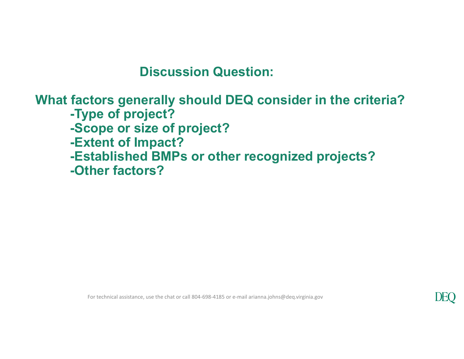#### What factors generally should DEQ consider in the criteria?

- -Type of project?
- -Scope or size of project?
- -Extent of Impact?
- -Established BMPs or other recognized projects?
- -Other factors?

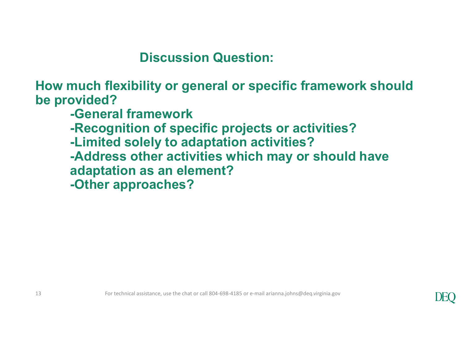How much flexibility or general or specific framework should be provided?

-General framework

-Recognition of specific projects or activities?

-Limited solely to adaptation activities?

-Address other activities which may or should have adaptation as an element? 13<br>
13 For technical assistance, use the chat or call 804-698-4185 or e-mail arianna.johns@deq.virginia.gov<br>
13<br>
13<br>
13

-Other approaches?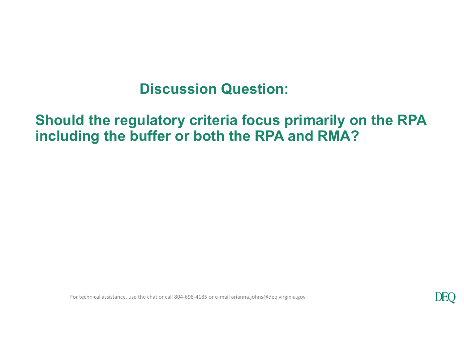#### Should the regulatory criteria focus primarily on the RPA including the buffer or both the RPA and RMA?

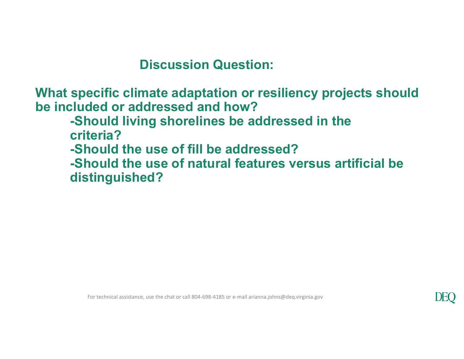What specific climate adaptation or resiliency projects should be included or addressed and how?

-Should living shorelines be addressed in the

criteria?

-Should the use of fill be addressed?

-Should the use of natural features versus artificial be distinguished?

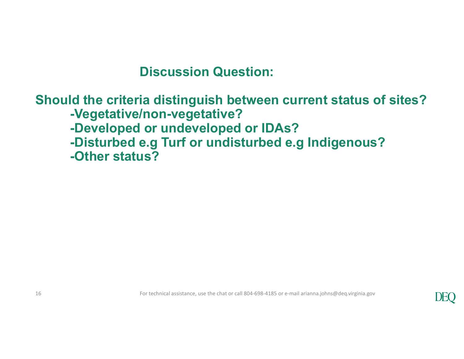### Should the criteria distinguish between current status of sites? -Vegetative/non-vegetative? -Developed or undeveloped or IDAs? Discussion Question:<br>
Id the criteria distinguish between current status of sites?<br>
-Vegetative/non-vegetative?<br>
-Developed or undeveloped or IDAs?<br>
-Disturbed e.g Turf or undisturbed e.g Indigenous?<br>
-Other status? -Other status? -Other status?<br>
For technical assistance, use the chat or call 804-698-4185 or e-mail arianna.johns@deq.virginia.gov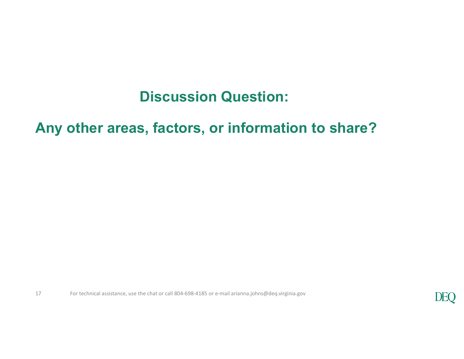#### Any other areas, factors, or information to share?